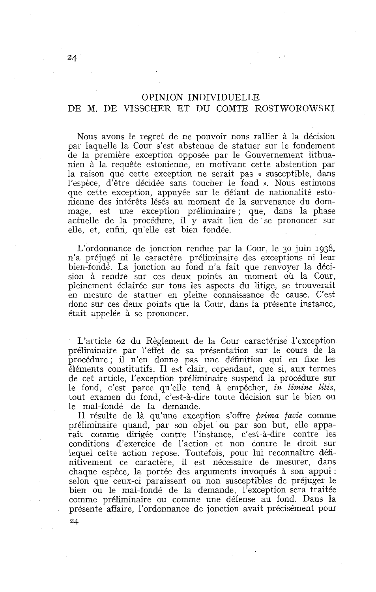## OPINION INDIVIDUELLE DE M. DE VISSCHER ET DU COMTE ROSTWOROWSKI

Nous avons le regret de ne pouvoir nous rallier à la décision par laquelle la Cour s'est abstenue de statuer sur le fondement de la première exception opposée par le Gouvernement lithuanien à la requête estonienne, en motivant cette abstention par la raison que cette exception ne serait pas « susceptible, dans l'espèce, d'être décidée sans toucher le fond ». Nous estimons que cette exception, appuyée sur le défaut de nationalité estonienne des intérêts lésés au moment de la survenance du dommage, est une exception préliminaire; que, dans la phase actuelle de la procédure, il y avait lieu de se prononcer sur elle, et, enfin, qu'elle est bien fondée.

L'ordonnance de jonction rendue par la Cour, le 30 juin 1938, n'a préjugé ni le caractère préliminaire des exceptions ni leur bien-fondé. La jonction au fond n'a fait que renvoyer la décision à rendre sur ces deux points au moment où la Cour, pleinement éclairée sur tous les aspects du litige, se trouverait en mesure de statuer en pleine connaissance de cause. C'est donc sur ces deux points que la Cour, dans la présente instance, était appelée à se prononcer.

L'article 62 du Règlement de la Cour caractérise l'exception préliminaire par l'effet de sa présentation sur le cours de la procédure; il n'en donne pas une définition qui en fixe les éléments constitutifs. 11 est clair, cependant, que si, aux termes de cet article, l'exception préliminaire suspend la procédure sur le fond, c'est parce qu'elle tend à empêcher, *in limine litis,*  tout examen du fond, c'est-à-dire toute décision sur le bien ou le mal-fondé de la demande.

Il résulte de là qu'une exception s'offre *prima facie* comme préliminaire quand, par son objet ou par son but, elle apparaît comme dirigée contre l'instance, c'est-à-dire contre les conditions d'exercice de l'action et non contre le droit sur lequel cette action repose. Toutefois, pour lui reconnaître définitivement ce caractère, il est nécessaire de mesurer, dans chaque espèce, la portée des arguments invoqués à son appui : selon que ceux-ci paraissent ou non susceptibles de préjuger le bien ou le mal-fondé de la demande, l'exception sera traitée comme préliminaire ou comme une défense au fond. Dans la présente affaire, l'ordonnance de jonction avait précisément pour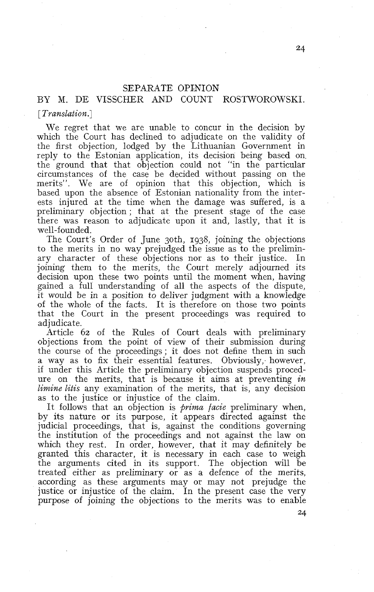# SEPARATE OPINION

# BY M. DE VISSCHER AND COUNT ROSTWOROWSKI.

[ *Translation.]* 

We regret that we are unable to concur in the decision by which the Court has declined to adjudicate on the validity of the first objection, lodged by the Lithuanian Government in reply to the Estonian application, its decision being based on the ground that that objection could not "in the particular circumstances of the case be decided without passing on the merits". We are of opinion that this objection, which is based upon the absence of Estonian nationality from the interests injured at the time when the damage was suffered, is a preliminary objection ; that at the present stage of the case there was reason to adjudicate upon it and, lastly, that it is well-founded.

The Court's Order of June 3oth, 1938, joining the objections to the merits in no way prejudged the issue as to the preliminary character of these objections nor as to their justice. In joining them to the merits, the Court merely adjourned its decision upon these two points until the moment when, having gained a full understanding of al1 the aspects of the dispute, it would be in a position to deliver judgment with a knowledge of the whole of the facts. It is therefore on those two points that the Court in the present proceedings was required to adjudicate.

Article 62 of the Rules of Court deals with preliminary objections from the point of view of their submission during the course of the proceedings ; it does not define them in such a way as to fix their essential features. Obviously, however, if under this Article the preliminary objection suspends procedure on the merits, that is because it aims at preventing *in limine litis* any examination of the merits, that is, any decision as to the justice or injustice of the claim.

It follows that an objection is *prima facie* preliminary when, by its nature or its purpose, it appears directed against the judicial proceedings, that is, against the conditions governing the institution of the proceedings and not against the law on which they rest. In order, however, that it may definitely be granted this character, it is necessary in each case to weigh the arguments cited in its support. The objection will be treated either as preliminary or as a defence of the merits, according as these arguments may or may not prejudge the justice or injustice of the claim. In the present case the very purpose of joining the objections to the merits was to enable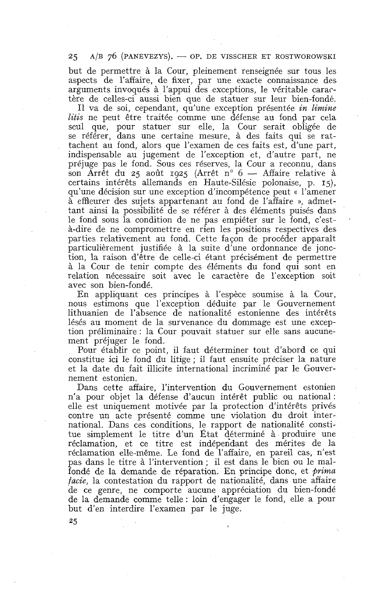### $25$  A/B 76 (PANEVEZYS).  $-$  OP. DE VISSCHER ET ROSTWOROWSKI

but de permettre à la Cour, pleinement renseignée sur tous les aspects de l'affaire, de fixer, par une exacte connaissance des arguments invoqués à l'appui des exceptions, le véritable caractère de celles-ci aussi bien que de statuer sur leur bien-fondé.

11 va de soi, cependant, qu'une exception présentée *in limine litis* ne peut être traitée comme une défense au fond par cela seul que, pour statuer sur elle, la Cour serait obligée de se référer, dans une certaine mesure, à des faits qui se rattachent au fond, alors que l'examen de ces faits est, d'une part, indispensable au jugement de l'exception et, d'autre part, ne préjuge pas le fond. Sous ces réserves, la Cour a reconnu, dans son Arrêt du 25 août 1925 (Arrêt n° 6 - Affaire relative à certains intérêts allemands en Haute-Silésie polonaise, p. **15),**  qu'une décision sur une exception d'incompétence peut « l'amener à effleurer des sujets appartenant au fond de l'affaire », admettant ainsi la possibilité de se référer à des éléments puisés dans le fond sous la condition de ne pas empiéter sur le fond, c'està-dire de ne compromettre en rien les positions respectives des parties relativement au fond. Cette façon de procéder apparaît particulièrement justifiée à la suite d'une ordonnance de jonction, la raison d'être de celle-ci étant précisément de permettre à la Cour de tenir compte des éléments du fond qui sont en relation nécessaire soit avec le caractère de l'exception soit avec son bien-fondé.

En appliquant ces principes à l'espèce soumise à la Cour, nous estimons que l'exception déduite par le Gouvernement lithuanien de l'absence de nationalité estonienne des intérêts lésés au moment de la survenance du dommage est une exception préliminaire : la Cour pouvait statuer sur elle sans aucunement préjuger le fond.

Pour établir ce point, il faut déterminer tout d'abord ce qui constitue ici le fond du litige ; il faut ensuite préciser la nature et la date du fait illicite international incriminé par le Gouvernement estonien.

Dans cette affaire, l'intervention du Gouvernement estonien n'a pour objet la défense d'aucun intérêt public ou national : elle est uniquement motivée par la protection d'intérêts privés contre un acte présenté comme une violation du droit international. Dans ces conditions, le rapport de nationalité constitue simplement le titre d'un Etat déterminé à produire une réclamation, et ce titre est indépendant des mérites de la réclamation elle-même. Le fond de l'affaire, en pareil cas, n'est pas dans le titre à l'intervention ; il est dans le bien ou le malfondé de la demande de réparation. En principe donc, et *\$rima facie,* la contestation du rapport de nationalité, dans une affaire de ce genre, ne comporte aucune appréciation du bien-fondé de la demande comme telle : loin d'engager le fond, elle a pour but d'en interdire l'examen par le juge.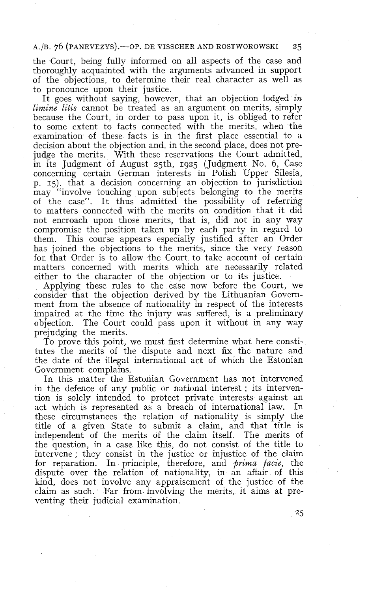### A./B. 76 (PANEVEZYS).—OP. DE VISSCHER AND ROSTWOROWSKI 25

the Court, being fully informed on al1 aspects of the case and thoroughly acquainted with the arguments advanced in support of the objections, to determine their real character as well as to pronounce upon their justice.

It goes without saying, however, that an objection lodged *in limine litis* cannot be treated as an argument on merits, simply because the Court, in order to pass upon it, is obliged to refer to some extent to facts connected with the merits, when the examination of these facts is in the first place essential to a decision about the objection and, in the second place, does not prejudge the merits. With these reservations the Court admitted, in its Judgment of August 25th, 1925 (Judgment No. 6, Case concerning certain German interests in Polish Upper Silesia, p. 15). that a decision concerning an objection to jurisdiction may "involve touching upon subjects belonging to the merits of the case". It thus admitted the possibility of referring to matters connected with the merits on condition that it did not encroach upon those merits, that is, did not in any way compromise the position taken up by each party in regard to them. This course appears especially justified after an Order has joined the objections to the merits, since the very reason for. that Order is to allow the Court to take account of certain matters concerned with merits which are necessarily related either to the character of the objection or to its justice.

Applying these rules to the case now before the Court, we consider that the objection derived by the Lithuanian Government from the absence of nationality in respect of the interests impaired at the time the injury was suffered, is a preliminary objection. The Court could pass upon it without in any way prejudging the merits.

To prove this point, we must first determine what here constitutes the merits of the dispute and next fix the nature and the date of the illegal international act of which the Estonian Government complains.

In this matter the Estonian Government has not intervened in the defence of any public or national interest ; its intervention is solely intended to protect private interests against an act which is represented as a breach of international law. In these circumstances the relation of nationality is simply the title of a given State to submit a claim, and that title is independent of the merits of the claim itself. The merits of the question, in a case like this, do not consist of the title to intervene ; they consist in the justice or injustice of the claim for reparation. In principle, therefore, and *prima facie*, the dispute over the relation of nationality, in an affair of this kind, does not involve any appraisement of the justice of the claim as such. Far from involving the merits, it aims at preventing their judicial examination.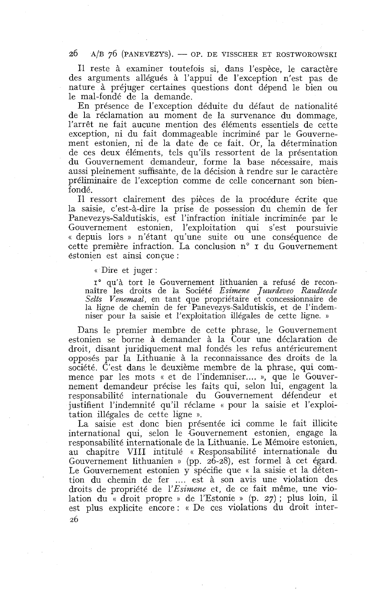#### 26  $A/B$  76 (PANEVEZYS). - OP. DE VISSCHER ET ROSTWOROWSKI

Il reste à examiner toutefois si, dans l'espèce, le caractère des arguments allégués à l'appui de l'exception n'est pas de nature à préjuger certaines questions dont dépend le bien ou le mal-fondé de la demande.

En présence de l'exception déduite du défaut de nationalité de la réclamation au moment de la survenance du dommage, l'arrêt ne fait aucune mention des éléments essentiels de cette exception, ni du fait dommageable incriminé par le Gouvernement estonien, ni de la date de ce fait. Or, la détermination de ces deux éléments, tels qu'ils ressortent de la présentation du Gouvernement demandeur, forme la base nécessaire, mais aussi pleinement suffisante, de la décision à rendre sur le caractère préliminaire de l'exception comme de celle concernant son bienfondé.

Il ressort clairement des pièces de la procédure écrite que la saisie, c'est-à-dire la prise de possession du chemin de fer Panevezys-Saldutiskis, est l'infraction initiale incriminée par le Gouvernement estonien, l'exploitation qui s'est poursuivie « depuis lors » n'étant qu'une suite ou une conséquence de cette première infraction. La conclusion  $n^{\circ}$  I du Gouvernement estonien est ainsi conçue :

(( Dire et juger :

**IO** qu'à tort le Gouvernement lithuanien a refusé de reconnaître les droits de la Société Esimene Juurdeveo Raudteede Selts Venemaal, en tant que propriétaire et concessionnaire de la ligne de chemin de fer Panevezys-Saldutiskis, et de l'indemniser pour la saisie et l'exploitation illégales de cette ligne. »

Dans le premier membre de cette phrase, le Gouvernement estonien se borne à demander à la Cour une déclaration de droit, disant juridiquement mal fondés les refus antérieurement opposés par la Lithuanie à la reconnaissance des droits de la société. C'est dans le deuxième membre de la phrase, qui commence par les mots « et de l'indemniser.... », que le Gouvernement demandeur précise les faits qui, selon lui, engagent la responsabilité internationale du Gouvernement défendeur et justifient l'indemnité qu'il réclame « pour la saisie et l'exploitation illégales de cette ligne ».

La saisie est donc bien présentée ici comme le fait illicite international qui, selon le Gouvernement estonien, engage la responsabilité internationale de la Lithuanie. Le Mémoire estonien, au chapitre VIII intitulé « Responsabilité internationale du Gouvernement lithuanien » (pp. 26-28), est formel à cet égard. Le Gouvernement estonien y spécifie que « la saisie et la détention du chemin de fer .... est à son avis une violation des droits de propriété de 1'Esimene et, de ce fait même, une violation du « droit propre » de l'Estonie » (p. 27) ; plus loin, il est plus explicite encore : « De ces violations du droit inter-26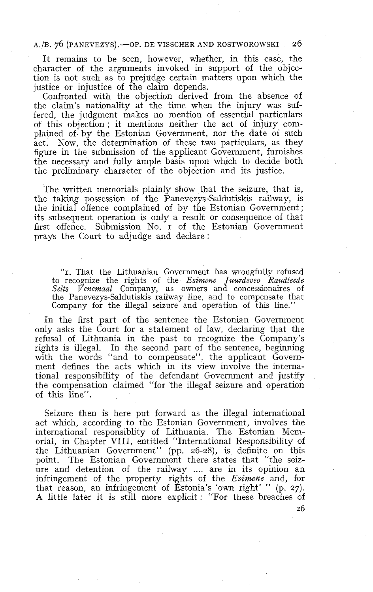#### A./B. 76 (PANEVEZYS). - OP. DE VISSCHER AND ROSTWOROWSKI 26

It remains to be seen, however, whether, in this case, the character of the arguments invoked in support of the objection is not such as to prejudge certain matters upon which the justice or injustice of the claim depends.

Confronted with the objection derived from the absence of the claim's nationality at the time when the injury was suffered, the judgment makes no mention of essential particulars of this objection ; it mentions neither the act of injury complained of. by the Estonian Government, nor the date of such act. Now, the determination of these two particulars, as they figure in the submission of the applicant Government, furnishes the necessary and fully ample basis upon which to decide both the preliminary character of the objection and its justice.

The written memorials plainly show that the seizure, that is, the taking possession of the Panevezys-Saldutiskis railway, is the initial offence complained of by the Estonian Government ; its subsequent operation is only a result or consequence of that first offence. Submission No. I of the Estonian Government prays the Court to adjudge and declare:

**"1.** That the Lithuanian Government has wrongfully refused to recognize the rights of the *Esimene Juurdeveo Raudteede*  Selts Venemaal Company, as owners and concessionaires of the Panevezys-Saldutiskis railway line, and to compensate that Company for the illegal seizure and operation of this line."

In the first part of the sentence the Estonian Government only asks the Court for a statement of law, declaring that the refusa1 of Lithuania in the past to recognize the Company's rights is illegal. In the second part of the sentence, beginning with the words "and to compensate", the applicant Government defines the acts which in its view involve the international responsibility of the defendant Government and justify the compensation claimed "for the illegal seizure and operation of this line".

Seizure then is here put fonvard as the illegal international act which, according to the Estonian Government, involves the international responsiblity of Lithuania, The Estonian Memorial, in Chapter VIII, entitled "International Responsibility of the Lithuanian Government" (pp. 26-28), is definite on this The Estonian Government there states that "the seizure and detention of the railway .... are in its opinion an infringement of the property rights of the *Esimene* and, for that reason, an infringement of Estonia's 'own right' " (p. 27). A little later it is still more explicit : "For these breaches of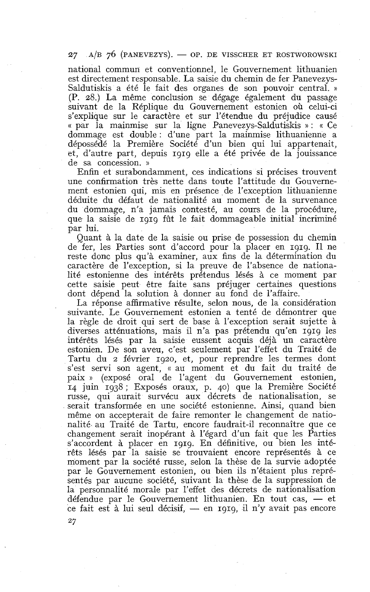$27$   $A/B$  70 (PANEVEZYS). — OP. DE VISSCHER ET ROSTWOROWSKI

national commun et conventionnel, le Gouvernement lithuanien est directement responsable. La saisie du chemin de fer Panevezys-Saldutiskis a été le fait des organes de son pouvoir central. » (P. 28.) La même conclusion se dégage également du passage suivant de la Réplique du Gouvernement estonien où celui-ci s'explique sur le caractère et sur l'étendue du préjudice causé « par la mainmise sur la ligne Panevezys-Saldutiskis » : « Ce dommage est double : d'une part la mainmise lithuanienne a dépossédé la Première Société d'un bien qui lui appartenait, et, d'autre part, depuis **1919** elle a été privée de la jouissance de sa concession. »

Enfin et surabondamment, ces indications si précises trouvent une confirmation très nette dans toute l'attitude du Gouvernement estonien qui, mis en présence de l'exception lithuanienne déduite du défaut de nationalité au moment de la survenance du dommage, n'a jamais contesté, au cours de la procédure, que la saisie de **1919** fût le fait dommageable initial incriminé par lui.

Quant à la date de la saisie ou prise de possession du chemin de fer, les Parties sont d'accord pour la placer en **1919.** Il ne reste donc plus qu'à examiner, aux fins de la détermination du caractère de l'exception, si la preuve de l'absence de nationalité estonienne des intérêts prétendus lésés à ce moment par cette saisie peut être faite sans préjuger certaines questions dont dépend la solution à donner au fond de l'affaire.

La réponse affirmative résulte, selon nous, de la considération suivante. Le Gouvernement estonien a tenté de démontrer que la règle de droit qui sert de base à l'exception serait sujette à diverses atténuations, mais il n'a pas prétendu qu'en **1919** les intérêts lésés par la saisie eussent acquis déjà un caractère estonien. De son aveu, c'est seulement par l'effet du Traité de Tartu du **2** février **1920,** et, pour reprendre les termes dont s'est servi son agent, **cc** au moment et du fait du traité de paix » (exposé oral de l'agent du Gouvernement estonien, **<sup>14</sup>**juin **1938** ; Exposés oraux, p. 40) que la Première Société russe, qui aurait survécu aux décrets de nationalisation, se serait transformée en une société estonienne. Ainsi, quand bien même on accepterait de faire remonter le changement de nationalité au Traité de Tartu, encore faudrait-il reconnaître que ce changement serait inopérant à l'égard d'un fait que les Parties s'accordent à placer en **1919.** En définitive, ou bien les intérêts lésés par la saisie se trouvaient encore représentés à ce moment par la société russe, selon la thèse de la survie adoptée par le Gouvernement estonien, ou bien ils n'étaient plus représentés par aucune société, suivant la thèse de la suppression de<br>la personnalité morale par l'effet des décrets de nationalisation<br>défendue par le Gouvernement lithuanien. En tout cas, — et<br>ce feit est à lyi seul décisit e la personnalité morale par l'effet des décrets de nationalisation<br>défendue par le Gouvernement lithuanien. En tout cas, — et<br>ce fait est à lui seul décisif, — en 1919, il n'y avait pas encore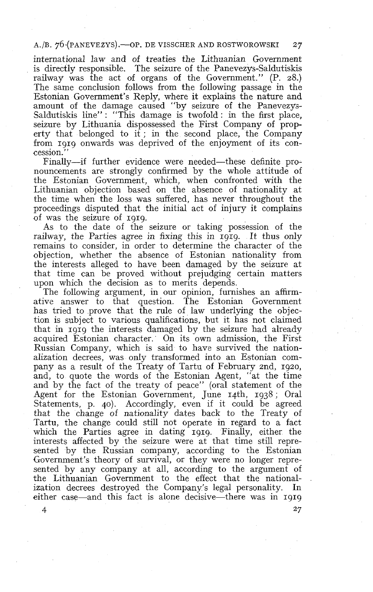### A./B. 76 (PANEVEZYS).-OP. DE VISSCHER AND ROSTWOROWSKI 27

international law and of treaties the Lithuanian Government is directly responsible. The seizure of the Panevezys-Saldutiskis railway was the act of organs of the Government." (P. 28.) The same conclusion follows from the following passage in the Estonian Government's Reply, where it explains the nature and amount of the damage caused "by seizure of the Panevezys-Saldutiskis line" : "This damage is twofold : in the first place, seizure by Lithuania dispossessed the First Company of property that belonged to  $if$ ; in the second place, the Company from 1919 onwards was deprived of the enjoyment of its concession.' '

Finally-if further evidence were needed-these definite pronouncements are strongly confirmed by the whole attitude of the Estonian Government, which, when confronted with the Lithuanian objection based on the absence of nationality at the time when the loss was suffered, has never throughout the proceedings disputed that the initial act of injury it complains of was the seizure of 1919.

As to the date of the seizure or taking possession of the railway, the Parties agree in fixing this in 1919. It thus only remains to consider, in order to determine the character of the objection, whether the absence of Estonian nationality from the interests alleged to have been damaged by the seizure at that time can be proved without prejudging certain matters upon which the decision as to merits depends.

The following argument, in our opinion, furnishes an affirmative answer to that question. The Estonian Government has tried to prove that the rule of law underlying the objection is subject to various qualifications, but it has not claimed that in 1919 the interests damaged by the seizure had already acquired Estonian character. On its own admission, the First Russian Company, which is said to have survived the nationalization decrees, was only transformed into an Estonian company as a result of the Treaty of Tartu of February znd, 1920, and, to quote the words of the Estonian Agent, "at the time and by the fact of the treaty of peace" (oral statement of the Agent for the Estonian Government, June 14th, 1938; Oral Statements, p. 40). Accordingly, even if it could be agreed that the change of nationality dates back to the Treaty of Tartu, the change could still not operate in regard to a fact which the Parties agree in dating 1919. Finally, either the interests affected by the seizure were at that time still represented by the Russian company, according to the Estonian Government's theory of survival, or they were no longer represented by any company at all, according to the argument of the Lithuanian Government to the effect that the nationalization decrees destroyed the Company's legal personality. In either case—and this fact is alone decisive—there was in 1919

 $\overline{4}$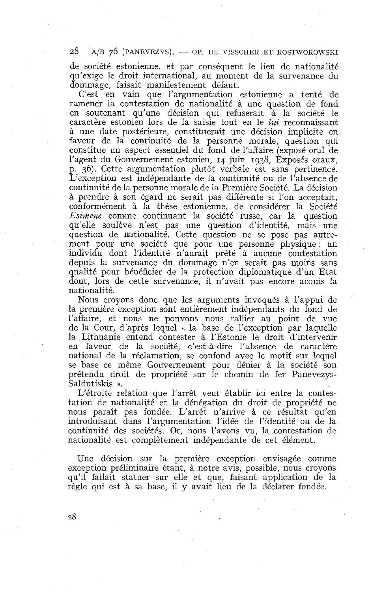28  $A/B$  76 (PANEVEZYS). — OP. DE VISSCHER ET ROSTWOROWSKI

de société estonienne, et par conséquent le lien de nationalité qu'exige le droit international, au moment de la survenance du dommage, faisait manifestement défaut.

C'est en vain que l'argumentation estonienne a tenté de ramener la contestation de nationalité à une question de fond en soutenant qu'une décision qui refuserait à la société le caractère estonien lors de la saisie tout en le *lui* reconnaissant à une date postérieure, constituerait une décision implicite en faveur de la continuité de la personne morale, question qui constitue un aspect essentiel du fond de l'affaire (exposé oral de l'agent du Gouvernement estonien, 14 juin 1938, Exposés oraux, p. 36). Cette argumentation plutôt verbale est sans pertinence. L'exception est indépendante de la continuité ou de l'absence de continuité de la personne morale de la Première Société. La décision à prendre à son égard ne serait pas différente si l'on acceptait, conformément à la thèse estonienne, de considérer la Société *Esimene* comme continuant la société russe, car la question qu'elle soulève n'est pas une question d'identité, mais une question de nationalité. Cette question ne se pose pas autrement pour une société que pour une personne physique : un individu dont l'identité n'aurait prêté à aucune contestation depuis la survenance du dommage n'en serait pas moins sans qualité pour bénéficier de la protection diplomatique d'un État dont, lors de cette survenance, il n'avait pas encore acquis la nationalité.

Nous croyons donc que les arguments invoqués à l'appui de la première exception sont entièrement indépendants du fond de l'affaire, et nous ne pouvons nous rallier au point de vue de la Cour, d'après lequel « la base de l'exception par laquelle la Lithuanie entend contester à l'Estonie le droit d'intervenir en faveur de la société, c'est-à-dire l'absence de caractère national de la réclamation, se confond avec le motif sur lequel se base ce même Gouvernement pour dénier à la société son prétendu droit de propriété sur le chemin de fer Panevezys-Saldutiskis ».

L'étroite relation que l'arrêt veut établir ici entre la contestation de nationalité et la dénégation du droit de propriété ne nous paraît pas fondée. L'arrêt n'arrive à ce résultat qu'en introduisant dans l'argumentation l'idée de l'identité ou de la continuité des sociétés. Or, nous l'avons vu, la contestation de nationalité est complètement indépendante de cet élément.

Une décision sur la première exception envisagée comme exception préliminaire étant, à notre avis, possible, nous croyons qu'il fallait statuer sur elle et que, faisant application de la règle qui est à sa base, il y avait lieu de la déclarer fondée.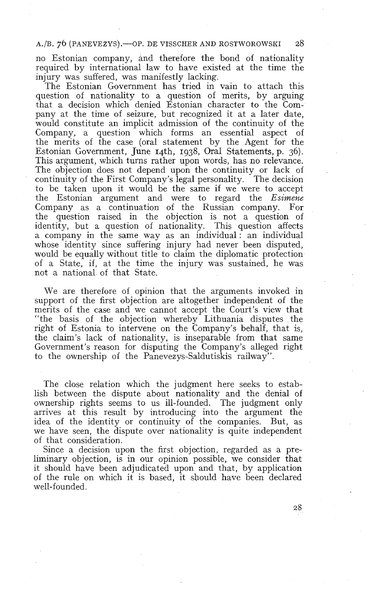### A./B. 76 (PANEVEZYS). - OP. DE VISSCHER AND ROSTWOROWSKI

no Estonian company, and therefore the bond of nationality required by international law to have existed at the time the injury was suffered, was manifestly lacking.

The Estonian Government has tried in vain to attach this question of nationality to a question of merits, by arguing that a decision which denied Estonian character to the Company at the time of seizure, but recognized it at a later date, would constitute an implicit admission of the continuity of the Company, a question which forms an essential aspect of the merits of the case (oral statement by the Agent for the Estonian Government, June 14th, 1938, Oral Statements, p. 36). This argument, which turns rather upon words, has no relevance. The objection does not depend upon the continuity or lack of continuity of the First Company's legal personality. The decision to be taken upon it would be the same if we were to accept the Estonian argument and were to regard the *Esirnene*  Company as a continuation of the Russian company. For the question raised in the objection is not a question of identity, but a question of nationality. This question affects a company in the same way as an individual : an individual whose identity since suffering injury had never been disputed, would be equally without title to claim the diplomatic protection of a State, if, at the time the injury was sustained, he was not a national of that State.

We are therefore of opinion that the arguments invoked in support of the first objection are altogether independent of the merits of the case and we cannot accept the Court's view that "the basis of the objection whereby Lithuania disputes the right of Estonia to intervene on the Company's behalf, that is, the claim's lack of nationality, is inseparable from that same Government's reason for disputing the Company's alleged right to the ownership of the Panevezys-Saldutiskis railway".

The close relation which the judgment here seeks to establish between the dispute about nationality and the denial of ownership rights seems to us ill-founded. The judgment only arrives at this result by introducing into the argument the idea of the identity or continuity of the companies. But, as we have seen, the dispute over nationality is quite independent of that consideration.

Since a decision upon the first objection, regarded as a preliminary objection, is in our opinion possible, we consider that it should have been adjudicated upon and that, by application of the rule on which it is based, it should have been declared well-founded.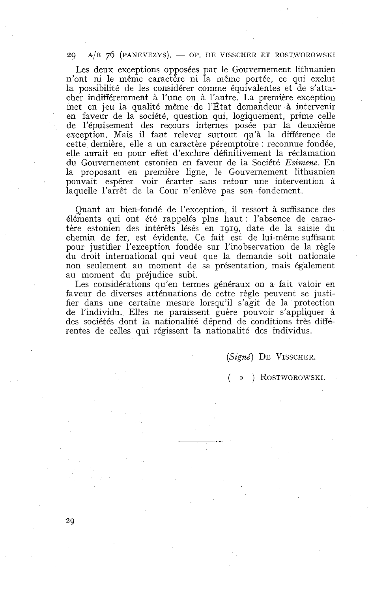#### $A/B$  76 (PANEVEZYS). - OP. DE VISSCHER ET ROSTWOROWSKI 20

Les deux exceptions opposées par le Gouvernement lithuanien n'ont ni le même caractère ni la même portée, ce qui exclut la possibilité de les considérer comme équivalentes et de s'attacher indifféremment à l'une ou à l'autre. La première exception met en jeu la qualité même de l'État demandeur à intervenir en faveur de la société, question qui, logiquement, prime celle de l'épuisement des recours internes posée par la deuxième exception. Mais il faut relever surtout qu'à la différence de cette dernière, elle a un caractère péremptoire : reconnue fondée, elle aurait eu pour effet d'exclure définitivement la réclamation du Gouvernement estonien en faveur de la Société *Esimeae.* En la proposant en première ligne, le Gouvernement lithuanien . pouvait espérer voir écarter sans retour une intervention à laquelle l'arrêt de la Cour n'enlève pas son fondement.

Quant au bien-fondé de l'exception, il ressort à suffisance des éléments qui ont été rappelés plus haut : l'absence de caractère estonien des intérêts lésés en 1919, date de la saisie du chemin de fer, est évidente. Ce fait est de lui-même suffisant pour justifier l'exception fondée sur l'inobservation de la règle du droit international qui veut que la demande soit nationale non seulement au moment de sa présentation, mais également au moment du préjudice subi.

Les considérations qu'en termes généraux on a fait valoir en faveur de diverses atténuations de cette règle peuvent se justifier dans une certaine mesure lorsqu'il s'agit de la protection de l'individu. Elles ne paraissent guère pouvoir s'appliquer à des sociétés dont la nationalité dépend de conditions très différentes de celles qui régissent la nationalité des individus.

**(Signé)** DE VISSCHER.

( » ) ROSTWOROWSKI.